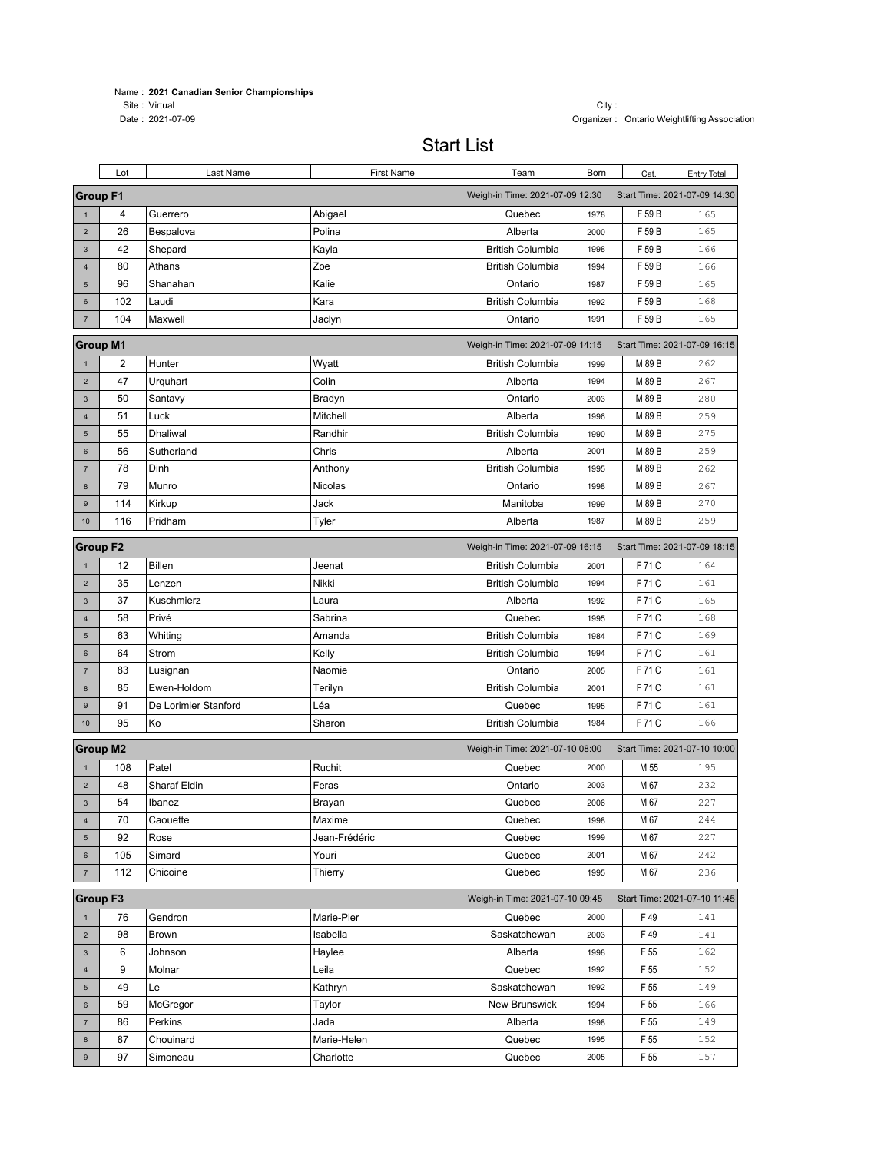## Name : **2021 Canadian Senior Championships**

Site : Virtual City : City : City : City : City : City : City : City : City : City : City : City : City : City : City : City : City : City : City : City : City : City : City : City : City : City : City : City : City : City

## Start List

|                         | Lot                                                                                | Last Name            | First Name       | Team                            | Born         | Cat.         | <b>Entry Total</b>           |
|-------------------------|------------------------------------------------------------------------------------|----------------------|------------------|---------------------------------|--------------|--------------|------------------------------|
|                         | <b>Group F1</b><br>Weigh-in Time: 2021-07-09 12:30<br>Start Time: 2021-07-09 14:30 |                      |                  |                                 |              |              |                              |
| $\mathbf{1}$            | 4                                                                                  | Guerrero             | Abigael          | Quebec                          | 1978         | F 59 B       | 165                          |
| $\overline{2}$          | 26                                                                                 | Bespalova            | Polina           | Alberta                         | 2000         | F 59 B       | 165                          |
| $\mathbf{3}$            | 42                                                                                 | Shepard              | Kayla            | <b>British Columbia</b>         | 1998         | F 59 B       | 166                          |
| $\overline{4}$          | 80                                                                                 | Athans               | Zoe              | <b>British Columbia</b>         | 1994         | F 59 B       | 166                          |
| $\sqrt{5}$              | 96                                                                                 | Shanahan             | Kalie            | Ontario                         | 1987         | F 59 B       | 165                          |
| 6                       | 102                                                                                | Laudi                | Kara             | <b>British Columbia</b>         | 1992         | F 59 B       | 168                          |
| $\overline{7}$          | 104                                                                                | Maxwell              | Jaclyn           | Ontario                         | 1991         | F 59 B       | 165                          |
|                         | <b>Group M1</b>                                                                    |                      |                  | Weigh-in Time: 2021-07-09 14:15 |              |              | Start Time: 2021-07-09 16:15 |
| $\mathbf{1}$            | $\overline{\mathbf{c}}$                                                            | Hunter               | Wyatt            | <b>British Columbia</b>         | 1999         | M 89 B       | 262                          |
| $\overline{2}$          | 47                                                                                 | Urquhart             | Colin            | Alberta                         | 1994         | M 89 B       | 267                          |
| $\mathbf{3}$            | 50                                                                                 | Santavy              | Bradyn           | Ontario                         | 2003         | M 89 B       | 280                          |
| $\overline{\mathbf{4}}$ | 51                                                                                 | Luck                 | Mitchell         | Alberta                         | 1996         | M 89 B       | 259                          |
| 5                       | 55                                                                                 | Dhaliwal             | Randhir          | <b>British Columbia</b>         | 1990         | M 89 B       | 275                          |
| $6\phantom{a}$          | 56                                                                                 | Sutherland           | Chris            | Alberta                         | 2001         | M 89 B       | 259                          |
| $\overline{7}$          | 78                                                                                 | Dinh                 | Anthony          | <b>British Columbia</b>         | 1995         | M 89 B       | 262                          |
| $\bf8$                  | 79                                                                                 | Munro                | Nicolas          | Ontario                         | 1998         | M 89 B       | 267                          |
| $\mathsf g$             | 114                                                                                | Kirkup               | Jack             | Manitoba                        | 1999         | M 89 B       | 270                          |
| 10                      | 116                                                                                | Pridham              | Tyler            | Alberta                         | 1987         | M 89 B       | 259                          |
|                         | <b>Group F2</b>                                                                    |                      |                  | Weigh-in Time: 2021-07-09 16:15 |              |              | Start Time: 2021-07-09 18:15 |
| $\overline{1}$          | 12                                                                                 | <b>Billen</b>        | Jeenat           | <b>British Columbia</b>         | 2001         | F 71 C       | 164                          |
| $\overline{2}$          | 35                                                                                 | Lenzen               | Nikki            | <b>British Columbia</b>         | 1994         | F 71 C       | 161                          |
| $\mathbf{3}$            | 37                                                                                 | Kuschmierz           | Laura            | Alberta                         | 1992         | F 71 C       | 165                          |
| $\overline{\mathbf{4}}$ | 58                                                                                 | Privé                | Sabrina          | Quebec                          | 1995         | F 71 C       | 168                          |
| $\sqrt{5}$              | 63                                                                                 | Whiting              | Amanda           | <b>British Columbia</b>         | 1984         | F 71 C       | 169                          |
| $6\phantom{1}$          | 64                                                                                 | Strom                | Kelly            | <b>British Columbia</b>         | 1994         | F 71 C       | 161                          |
| $\overline{7}$          | 83                                                                                 | Lusignan             | Naomie           | Ontario                         | 2005         | F 71 C       | 161                          |
| $\bf8$                  | 85                                                                                 | Ewen-Holdom          | Terilyn          | <b>British Columbia</b>         | 2001         | F 71 C       | 161                          |
| $\mathsf g$             | 91                                                                                 | De Lorimier Stanford | Léa              | Quebec                          | 1995         | F 71 C       | 161                          |
| 10                      | 95                                                                                 | Ko                   | Sharon           | <b>British Columbia</b>         | 1984         | F 71 C       | 166                          |
|                         | <b>Group M2</b>                                                                    |                      |                  | Weigh-in Time: 2021-07-10 08:00 |              |              | Start Time: 2021-07-10 10:00 |
|                         |                                                                                    |                      |                  |                                 |              |              |                              |
| $\mathbf{1}$            | 108                                                                                | Patel                | Ruchit           | Quebec                          | 2000         | M 55         | 195                          |
| $\overline{2}$          | 48                                                                                 | Sharaf Eldin         | Feras            | Ontario                         | 2003         | M 67         | 232                          |
| $\mathbf{3}$            | 54                                                                                 | Ibanez               | Brayan           | Quebec                          | 2006         | M 67         | 227                          |
| $\overline{\mathbf{4}}$ | 70                                                                                 | Caouette             | Maxime           | Quebec                          | 1998         | M 67         | 244<br>227                   |
| 5                       | 92                                                                                 | Rose                 | Jean-Frédéric    | Quebec                          | 1999         | M 67         |                              |
| 6                       | 105<br>112                                                                         | Simard<br>Chicoine   | Youri<br>Thierry | Quebec<br>Quebec                | 2001<br>1995 | M 67<br>M 67 | 242<br>236                   |
| $\overline{7}$          |                                                                                    |                      |                  |                                 |              |              |                              |
|                         | <b>Group F3</b>                                                                    |                      |                  | Weigh-in Time: 2021-07-10 09:45 |              |              | Start Time: 2021-07-10 11:45 |
| $\mathbf{1}$            | 76                                                                                 | Gendron              | Marie-Pier       | Quebec                          | 2000         | F 49         | 141                          |
| $\overline{2}$          | 98                                                                                 | Brown                | Isabella         | Saskatchewan                    | 2003         | F 49         | 141                          |
| $\mathbf{3}$            | 6                                                                                  | Johnson              | Haylee           | Alberta                         | 1998         | F 55         | 162                          |
| $\overline{4}$          | 9                                                                                  | Molnar               | Leila            | Quebec                          | 1992         | F 55         | 152                          |
| 5                       | 49                                                                                 | Le                   | Kathryn          | Saskatchewan                    | 1992         | F 55         | 149                          |
| 6                       | 59                                                                                 | McGregor             | Taylor           | New Brunswick                   | 1994         | F 55         | 166                          |
| $\overline{7}$          | 86                                                                                 | Perkins              | Jada             | Alberta                         | 1998         | F 55         | 149                          |
| 8                       | 87                                                                                 | Chouinard            | Marie-Helen      | Quebec                          | 1995         | F 55         | 152                          |
| 9                       | 97                                                                                 | Simoneau             | Charlotte        | Quebec                          | 2005         | F 55         | 157                          |

Organizer : Ontario Weightlifting Association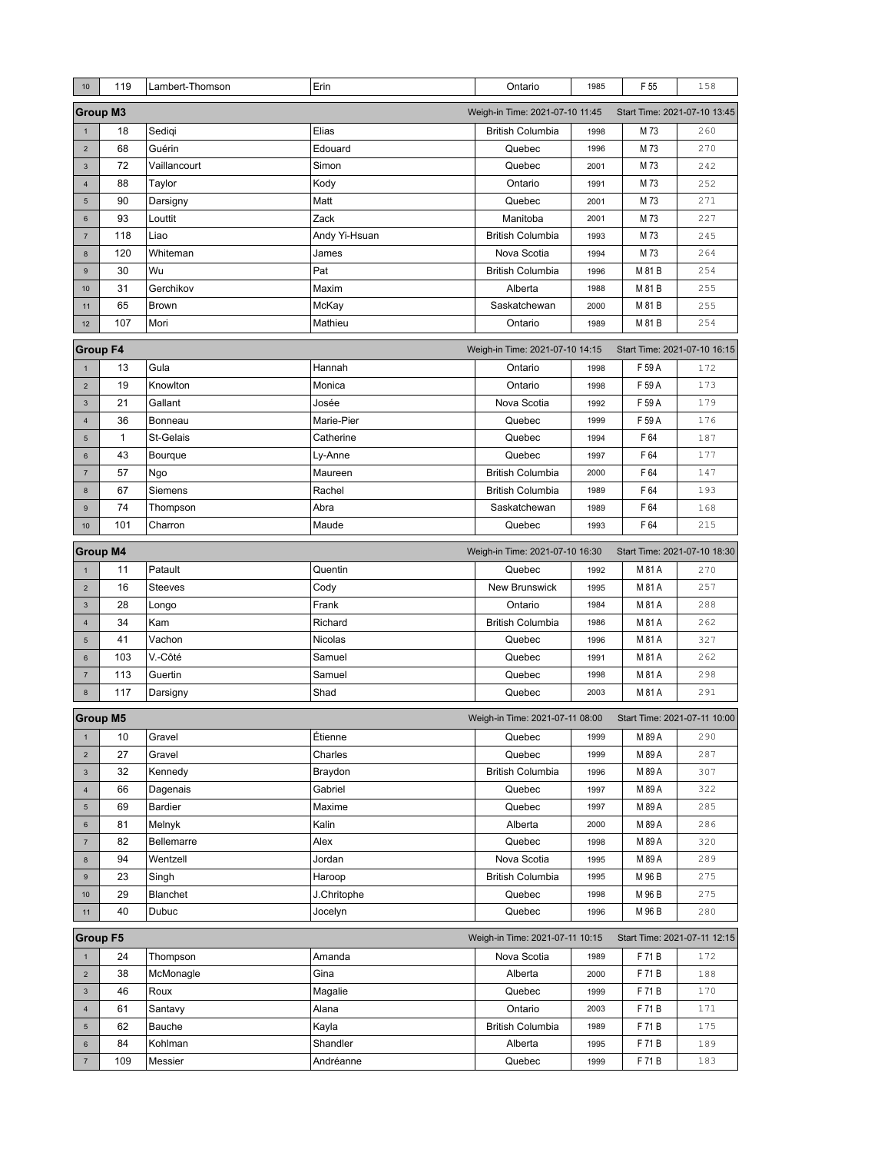| 10                                                                                 | 119             | Lambert-Thomson | Erin          | Ontario                         | 1985 | F 55                         | 158 |
|------------------------------------------------------------------------------------|-----------------|-----------------|---------------|---------------------------------|------|------------------------------|-----|
| <b>Group M3</b><br>Weigh-in Time: 2021-07-10 11:45<br>Start Time: 2021-07-10 13:45 |                 |                 |               |                                 |      |                              |     |
| $\mathbf{1}$                                                                       | 18              | Sedigi          | Elias         | <b>British Columbia</b>         | 1998 | M 73                         | 260 |
| $\overline{2}$                                                                     | 68              | Guérin          | Edouard       | Quebec                          | 1996 | M 73                         | 270 |
| $\ensuremath{\mathsf{3}}$                                                          | 72              | Vaillancourt    | Simon         | Quebec                          | 2001 | M 73                         | 242 |
| $\overline{4}$                                                                     | 88              | Taylor          | Kody          | Ontario                         | 1991 | M 73                         | 252 |
| $\sqrt{5}$                                                                         | 90              | Darsigny        | Matt          | Quebec                          | 2001 | M 73                         | 271 |
| $\boldsymbol{6}$                                                                   | 93              | Louttit         | Zack          | Manitoba                        | 2001 | M 73                         | 227 |
| $\overline{7}$                                                                     | 118             | Liao            | Andy Yi-Hsuan | <b>British Columbia</b>         | 1993 | M 73                         | 245 |
| 8                                                                                  | 120             | Whiteman        | James         | Nova Scotia                     | 1994 | M 73                         | 264 |
| 9                                                                                  | 30              | Wu              | Pat           | <b>British Columbia</b>         | 1996 | M 81 B                       | 254 |
| 10                                                                                 | 31              | Gerchikov       | Maxim         | Alberta                         | 1988 | M 81 B                       | 255 |
| 11                                                                                 | 65              | Brown           | McKay         | Saskatchewan                    | 2000 | M 81 B                       | 255 |
| 12                                                                                 | 107             | Mori            | Mathieu       | Ontario                         | 1989 | M 81 B                       | 254 |
|                                                                                    | <b>Group F4</b> |                 |               | Weigh-in Time: 2021-07-10 14:15 |      | Start Time: 2021-07-10 16:15 |     |
| $\mathbf{1}$                                                                       | 13              | Gula            | Hannah        | Ontario                         | 1998 | F 59 A                       | 172 |
| $\overline{2}$                                                                     | 19              | Knowlton        | Monica        | Ontario                         | 1998 | F 59 A                       | 173 |
| $\mathbf{3}$                                                                       | 21              | Gallant         | Josée         | Nova Scotia                     | 1992 | F 59 A                       | 179 |
| $\overline{4}$                                                                     | 36              | Bonneau         | Marie-Pier    | Quebec                          | 1999 | F 59 A                       | 176 |
| $5\phantom{.0}$                                                                    | 1               | St-Gelais       | Catherine     | Quebec                          | 1994 | F 64                         | 187 |
| $6\phantom{1}$                                                                     | 43              | Bourque         | Ly-Anne       | Quebec                          | 1997 | F 64                         | 177 |
| $\overline{7}$                                                                     | 57              | Ngo             | Maureen       | <b>British Columbia</b>         | 2000 | F 64                         | 147 |
| 8                                                                                  | 67              | Siemens         | Rachel        | <b>British Columbia</b>         | 1989 | F 64                         | 193 |
| 9                                                                                  | 74              | Thompson        | Abra          | Saskatchewan                    | 1989 | F 64                         | 168 |
| 10                                                                                 | 101             | Charron         | Maude         | Quebec                          | 1993 | F 64                         | 215 |
|                                                                                    | <b>Group M4</b> |                 |               | Weigh-in Time: 2021-07-10 16:30 |      | Start Time: 2021-07-10 18:30 |     |
| $\mathbf{1}$                                                                       | 11              | Patault         | Quentin       | Quebec                          | 1992 | M 81 A                       | 270 |
| $\overline{2}$                                                                     | 16              | <b>Steeves</b>  | Cody          | <b>New Brunswick</b>            | 1995 | M 81 A                       | 257 |
| $\mathbf{3}$                                                                       | 28              | Longo           | Frank         | Ontario                         | 1984 | M 81 A                       | 288 |
| $\overline{\mathbf{4}}$                                                            | 34              | Kam             | Richard       | <b>British Columbia</b>         | 1986 | M 81 A                       | 262 |
| 5                                                                                  | 41              | Vachon          | Nicolas       | Quebec                          | 1996 | M 81 A                       | 327 |
| $6\phantom{1}$                                                                     | 103             | V.-Côté         | Samuel        | Quebec                          | 1991 | M 81 A                       | 262 |
| $\overline{7}$                                                                     | 113             | Guertin         | Samuel        | Quebec                          | 1998 | M 81 A                       | 298 |
| $\bf 8$                                                                            | 117             | Darsigny        | Shad          | Quebec                          | 2003 | M 81 A                       | 291 |
|                                                                                    | <b>Group M5</b> |                 |               | Weigh-in Time: 2021-07-11 08:00 |      | Start Time: 2021-07-11 10:00 |     |
| 1                                                                                  | 10              | Gravel          | Etienne       | Quebec                          | 1999 | M 89 A                       | 290 |
| $\overline{2}$                                                                     | 27              | Gravel          | Charles       | Quebec                          | 1999 | M 89 A                       | 287 |
| $\ensuremath{\mathsf{3}}$                                                          | 32              | Kennedy         | Braydon       | <b>British Columbia</b>         | 1996 | M 89 A                       | 307 |
| $\overline{4}$                                                                     | 66              | Dagenais        | Gabriel       | Quebec                          | 1997 | M 89 A                       | 322 |
| 5                                                                                  | 69              | Bardier         | Maxime        | Quebec                          | 1997 | M 89 A                       | 285 |
| 6                                                                                  | 81              | Melnyk          | Kalin         | Alberta                         | 2000 | M 89 A                       | 286 |
| $\sqrt{7}$                                                                         | 82              | Bellemarre      | Alex          | Quebec                          | 1998 | M 89 A                       | 320 |
| $\bf 8$                                                                            | 94              | Wentzell        | Jordan        | Nova Scotia                     | 1995 | M 89 A                       | 289 |
| $\mathsf g$                                                                        | 23              | Singh           | Haroop        | <b>British Columbia</b>         | 1995 | M 96 B                       | 275 |
| 10                                                                                 | 29              | Blanchet        | J.Chritophe   | Quebec                          | 1998 | M 96 B                       | 275 |
| 11                                                                                 | 40              | Dubuc           | Jocelyn       | Quebec                          | 1996 | M 96 B                       | 280 |
| <b>Group F5</b><br>Weigh-in Time: 2021-07-11 10:15<br>Start Time: 2021-07-11 12:15 |                 |                 |               |                                 |      |                              |     |
| $\mathbf{1}$                                                                       | 24              | Thompson        | Amanda        | Nova Scotia                     | 1989 | F 71 B                       | 172 |
| $\overline{2}$                                                                     | 38              | McMonagle       | Gina          | Alberta                         | 2000 | F 71B                        | 188 |
| $\mathbf{3}$                                                                       | 46              | Roux            | Magalie       | Quebec                          | 1999 | F 71B                        | 170 |
| $\overline{\mathbf{4}}$                                                            | 61              | Santavy         | Alana         | Ontario                         | 2003 | F 71B                        | 171 |
| 5                                                                                  | 62              | Bauche          | Kayla         | <b>British Columbia</b>         | 1989 | F 71B                        | 175 |
| 6                                                                                  | 84              | Kohlman         | Shandler      | Alberta                         | 1995 | F 71B                        | 189 |
|                                                                                    | 109             | Messier         | Andréanne     | Quebec                          | 1999 | F 71B                        | 183 |
| $\sqrt{7}$                                                                         |                 |                 |               |                                 |      |                              |     |